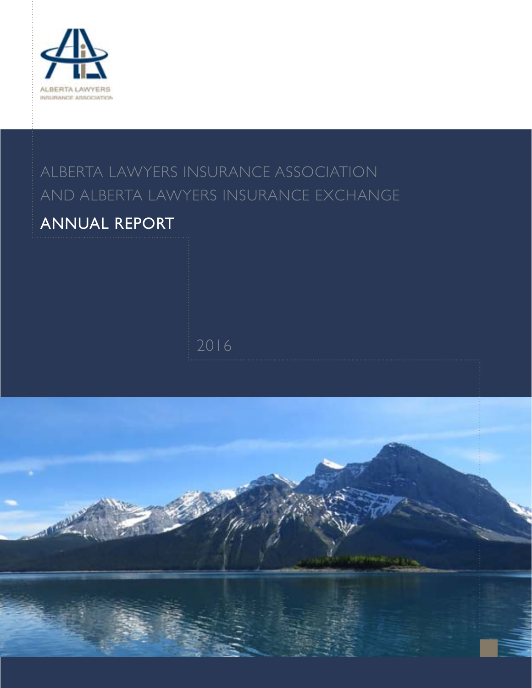

### ALBERTA LAWYERS INSURANCE ASSOCIATION and ALBERTA LAWYERS INSURANCE exchange

### ANNUAL REPORT

2016

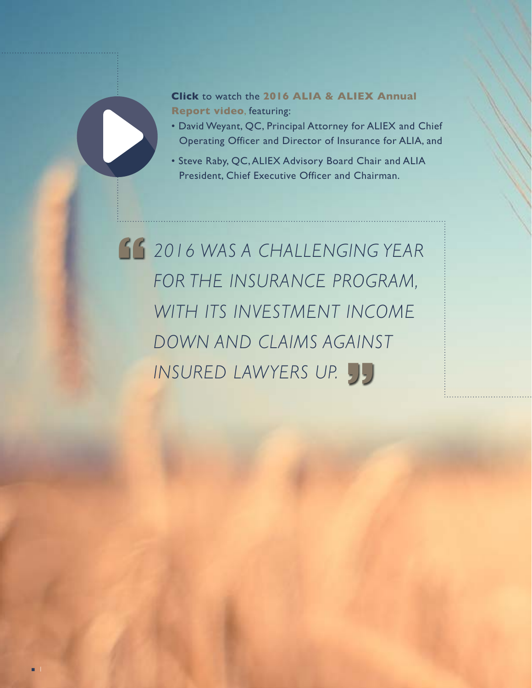**Click** to watch the **2016 ALIA & ALIEX Annual Report video**, featuring:

- David Weyant, QC, Principal Attorney for ALIEX and Chief Operating Officer and Director of Insurance for ALIA, and
- Steve Raby, QC, ALIEX Advisory Board Chair and ALIA President, Chief Executive Officer and Chairman.

 *2016 was a challenging year for the insurance program, with its investment income down and claims against insured lawyers up.*

1

 $\blacksquare$ 

 $\blacktriangleright$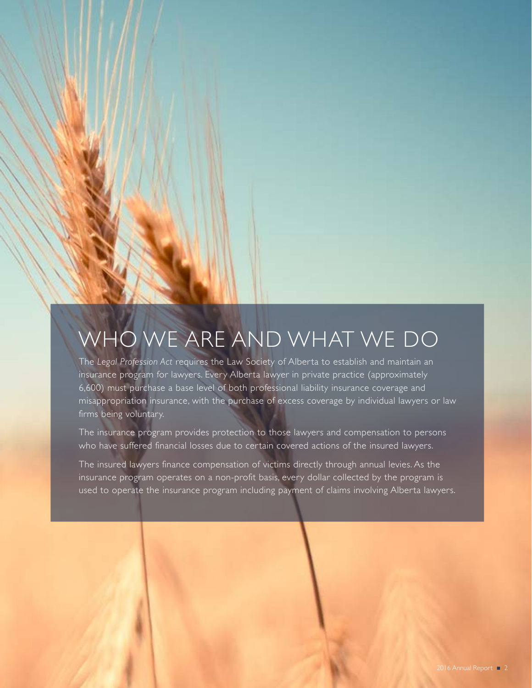## Who We Are and What We Do

The *Legal Profession Act* requires the Law Society of Alberta to establish and maintain an insurance program for lawyers. Every Alberta lawyer in private practice (approximately 6,600) must purchase a base level of both professional liability insurance coverage and misappropriation insurance, with the purchase of excess coverage by individual lawyers or law firms being voluntary.

The insurance program provides protection to those lawyers and compensation to persons who have suffered financial losses due to certain covered actions of the insured lawyers.

The insured lawyers finance compensation of victims directly through annual levies. As the insurance program operates on a non-profit basis, every dollar collected by the program is used to operate the insurance program including payment of claims involving Alberta lawyers.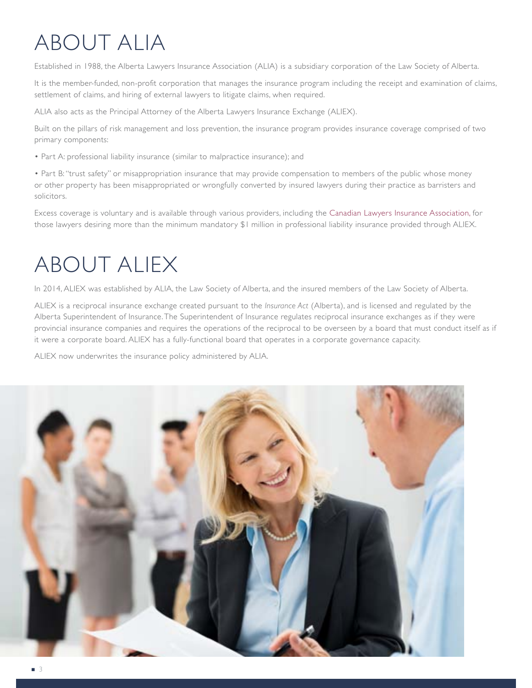# About ALIA

Established in 1988, the Alberta Lawyers Insurance Association (ALIA) is a subsidiary corporation of the Law Society of Alberta.

It is the member-funded, non-profit corporation that manages the insurance program including the receipt and examination of claims, settlement of claims, and hiring of external lawyers to litigate claims, when required.

ALIA also acts as the Principal Attorney of the Alberta Lawyers Insurance Exchange (ALIEX).

Built on the pillars of risk management and loss prevention, the insurance program provides insurance coverage comprised of two primary components:

• Part A: professional liability insurance (similar to malpractice insurance); and

• Part B: "trust safety" or misappropriation insurance that may provide compensation to members of the public whose money or other property has been misappropriated or wrongfully converted by insured lawyers during their practice as barristers and solicitors.

Excess coverage is voluntary and is available through various providers, including the [Canadian Lawyers Insurance Association](http://www.clia.ca), for those lawyers desiring more than the minimum mandatory \$1 million in professional liability insurance provided through ALIEX.

## About ALIEX

In 2014, ALIEX was established by ALIA, the Law Society of Alberta, and the insured members of the Law Society of Alberta.

ALIEX is a reciprocal insurance exchange created pursuant to the *Insurance Act* (Alberta), and is licensed and regulated by the Alberta Superintendent of Insurance. The Superintendent of Insurance regulates reciprocal insurance exchanges as if they were provincial insurance companies and requires the operations of the reciprocal to be overseen by a board that must conduct itself as if it were a corporate board. ALIEX has a fully-functional board that operates in a corporate governance capacity.

ALIEX now underwrites the insurance policy administered by ALIA.

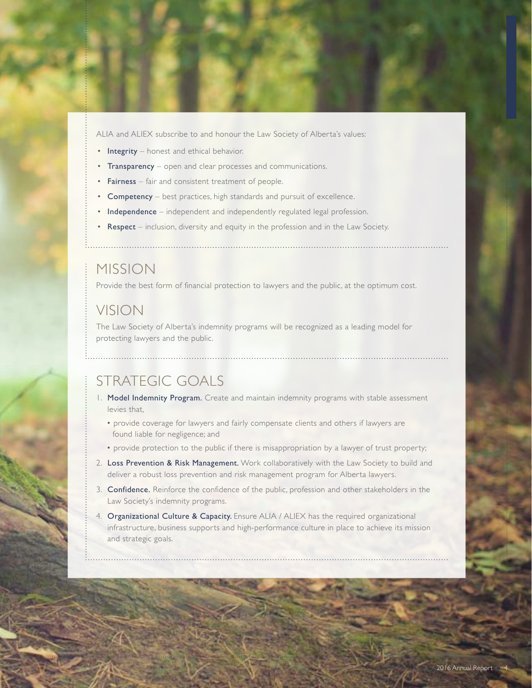ALIA and ALIEX subscribe to and honour the Law Society of Alberta's values:

- Integrity honest and ethical behavior.
- Transparency open and clear processes and communications.
- Fairness fair and consistent treatment of people.
- Competency best practices, high standards and pursuit of excellence.
- Independence independent and independently regulated legal profession.
- Respect inclusion, diversity and equity in the profession and in the Law Society.

### Mission

Provide the best form of financial protection to lawyers and the public, at the optimum cost.

### Vision

The Law Society of Alberta's indemnity programs will be recognized as a leading model for protecting lawyers and the public.

### Strategic Goals

1. Model Indemnity Program. Create and maintain indemnity programs with stable assessment levies that,

- provide coverage for lawyers and fairly compensate clients and others if lawyers are found liable for negligence; and
- provide protection to the public if there is misappropriation by a lawyer of trust property;
- 2. Loss Prevention & Risk Management. Work collaboratively with the Law Society to build and deliver a robust loss prevention and risk management program for Alberta lawyers.
- 3. Confidence. Reinforce the confidence of the public, profession and other stakeholders in the Law Society's indemnity programs.
- 4. Organizational Culture & Capacity. Ensure ALIA / ALIEX has the required organizational infrastructure, business supports and high-performance culture in place to achieve its mission and strategic goals.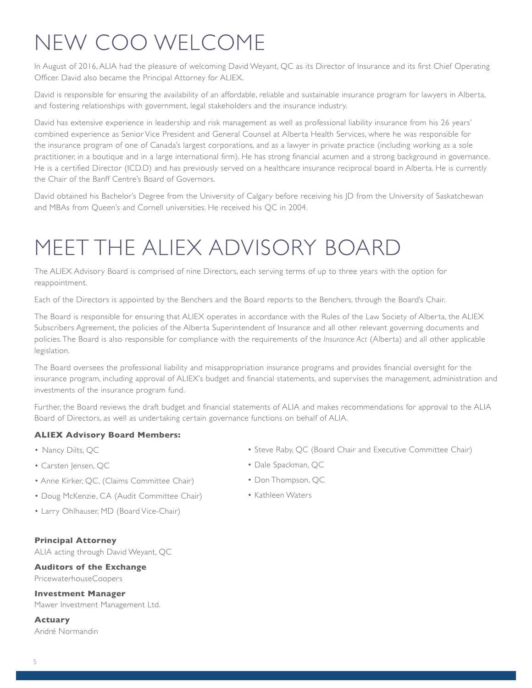## New COO Welcome

In August of 2016, ALIA had the pleasure of welcoming David Weyant, QC as its Director of Insurance and its first Chief Operating Officer. David also became the Principal Attorney for ALIEX.

David is responsible for ensuring the availability of an affordable, reliable and sustainable insurance program for lawyers in Alberta, and fostering relationships with government, legal stakeholders and the insurance industry.

David has extensive experience in leadership and risk management as well as professional liability insurance from his 26 years' combined experience as Senior Vice President and General Counsel at Alberta Health Services, where he was responsible for the insurance program of one of Canada's largest corporations, and as a lawyer in private practice (including working as a sole practitioner, in a boutique and in a large international firm). He has strong financial acumen and a strong background in governance. He is a certified Director (ICD.D) and has previously served on a healthcare insurance reciprocal board in Alberta. He is currently the Chair of the Banff Centre's Board of Governors.

David obtained his Bachelor's Degree from the University of Calgary before receiving his JD from the University of Saskatchewan and MBAs from Queen's and Cornell universities. He received his QC in 2004.

### Meet the ALIEX advisory Board

The ALIEX Advisory Board is comprised of nine Directors, each serving terms of up to three years with the option for reappointment.

Each of the Directors is appointed by the Benchers and the Board reports to the Benchers, through the Board's Chair.

The Board is responsible for ensuring that ALIEX operates in accordance with the Rules of the Law Society of Alberta, the ALIEX Subscribers Agreement, the policies of the Alberta Superintendent of Insurance and all other relevant governing documents and policies. The Board is also responsible for compliance with the requirements of the *Insurance Act* (Alberta) and all other applicable legislation.

The Board oversees the professional liability and misappropriation insurance programs and provides financial oversight for the insurance program, including approval of ALIEX's budget and financial statements, and supervises the management, administration and investments of the insurance program fund.

Further, the Board reviews the draft budget and financial statements of ALIA and makes recommendations for approval to the ALIA Board of Directors, as well as undertaking certain governance functions on behalf of ALIA.

#### **ALIEX Advisory Board Members:**

- Nancy Dilts, OC
- Carsten Jensen, QC
- Anne Kirker, QC, (Claims Committee Chair)
- Doug McKenzie, CA (Audit Committee Chair)
- Larry Ohlhauser, MD (Board Vice-Chair)
- **Principal Attorney**

ALIA acting through David Weyant, QC

**Auditors of the Exchange** PricewaterhouseCoopers

**Investment Manager**

Mawer Investment Management Ltd.

**Actuary**  André Normandin

- Steve Raby, QC (Board Chair and Executive Committee Chair)
- Dale Spackman, QC
- Don Thompson, QC
- Kathleen Waters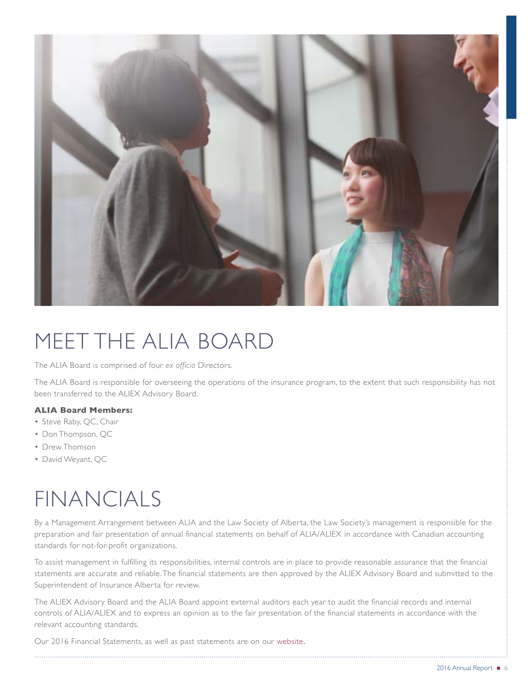

### Meet the ALIA Board

The ALIA Board is comprised of four *ex officio* Directors.

The ALIA Board is responsible for overseeing the operations of the insurance program, to the extent that such responsibility has not been transferred to the ALIEX Advisory Board.

#### **ALIA Board Members:**

- Steve Raby, QC, Chair
- Don Thompson, QC
- Drew Thomson
- David Weyant, QC

### financials

By a Management Arrangement between ALIA and the Law Society of Alberta, the Law Society's management is responsible for the preparation and fair presentation of annual financial statements on behalf of ALIA/ALIEX in accordance with Canadian accounting standards for not-for-profit organizations.

To assist management in fulfilling its responsibilities, internal controls are in place to provide reasonable assurance that the financial statements are accurate and reliable. The financial statements are then approved by the ALIEX Advisory Board and submitted to the Superintendent of Insurance Alberta for review.

The ALIEX Advisory Board and the ALIA Board appoint external auditors each year to audit the financial records and internal controls of ALIA/ALIEX and to express an opinion as to the fair presentation of the financial statements in accordance with the relevant accounting standards.

Our 2016 Financial Statements, as well as past statements are on our [website](https://www.lawsociety.ab.ca/lawyers-and-students/alberta-lawyers-insurance-association/financial-reports/).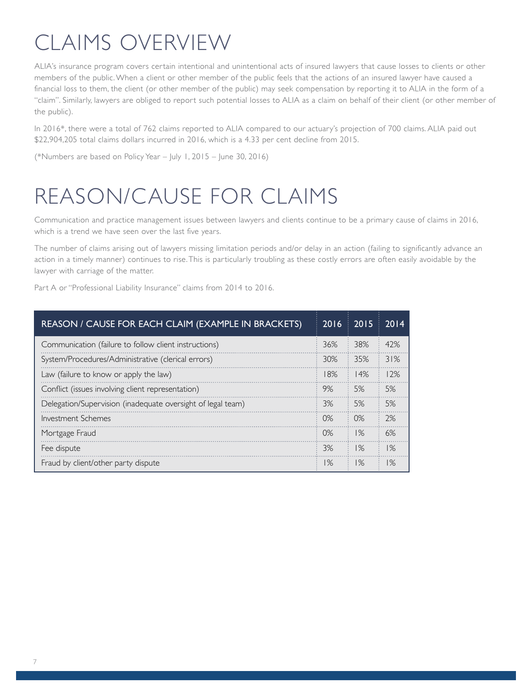# Claims Overview

ALIA's insurance program covers certain intentional and unintentional acts of insured lawyers that cause losses to clients or other members of the public. When a client or other member of the public feels that the actions of an insured lawyer have caused a financial loss to them, the client (or other member of the public) may seek compensation by reporting it to ALIA in the form of a "claim". Similarly, lawyers are obliged to report such potential losses to ALIA as a claim on behalf of their client (or other member of the public).

In 2016\*, there were a total of 762 claims reported to ALIA compared to our actuary's projection of 700 claims. ALIA paid out \$22,904,205 total claims dollars incurred in 2016, which is a 4.33 per cent decline from 2015.

(\*Numbers are based on Policy Year – July 1, 2015 – June 30, 2016)

## Reason/Cause for Claims

Communication and practice management issues between lawyers and clients continue to be a primary cause of claims in 2016, which is a trend we have seen over the last five years.

The number of claims arising out of lawyers missing limitation periods and/or delay in an action (failing to significantly advance an action in a timely manner) continues to rise. This is particularly troubling as these costly errors are often easily avoidable by the lawyer with carriage of the matter.

Part A or "Professional Liability Insurance" claims from 2014 to 2016.

| REASON / CAUSE FOR EACH CLAIM (EXAMPLE IN BRACKETS)         | 2016  | 2015  | 2014 |
|-------------------------------------------------------------|-------|-------|------|
| Communication (failure to follow client instructions)       | 36%   | 38%   | 42%  |
| System/Procedures/Administrative (clerical errors)          | 30%   | 35%   | 31%  |
| Law (failure to know or apply the law)                      | 18%   | 14%   | 12%  |
| Conflict (issues involving client representation)           | 9%    | 5%    | 5%   |
| Delegation/Supervision (inadequate oversight of legal team) | 3%    | 5%    | 5%   |
| Investment Schemes                                          | $0\%$ | 0%    | 2%   |
| Mortgage Fraud                                              | $0\%$ | $1\%$ | 6%   |
| Fee dispute                                                 | 3%    | $1\%$ | 1%   |
| Fraud by client/other party dispute                         | 1%    | $1\%$ | 1%   |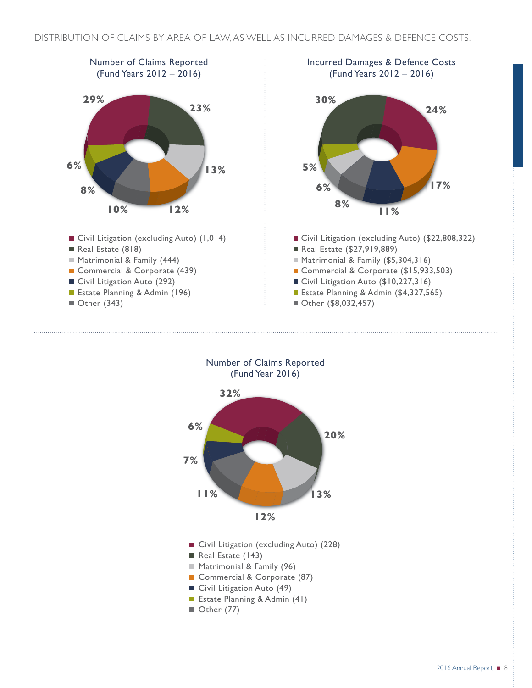



- Commercial & Corporate (87)
- Civil Litigation Auto (49)
- Estate Planning & Admin (41)
- $\blacksquare$  Other (77)